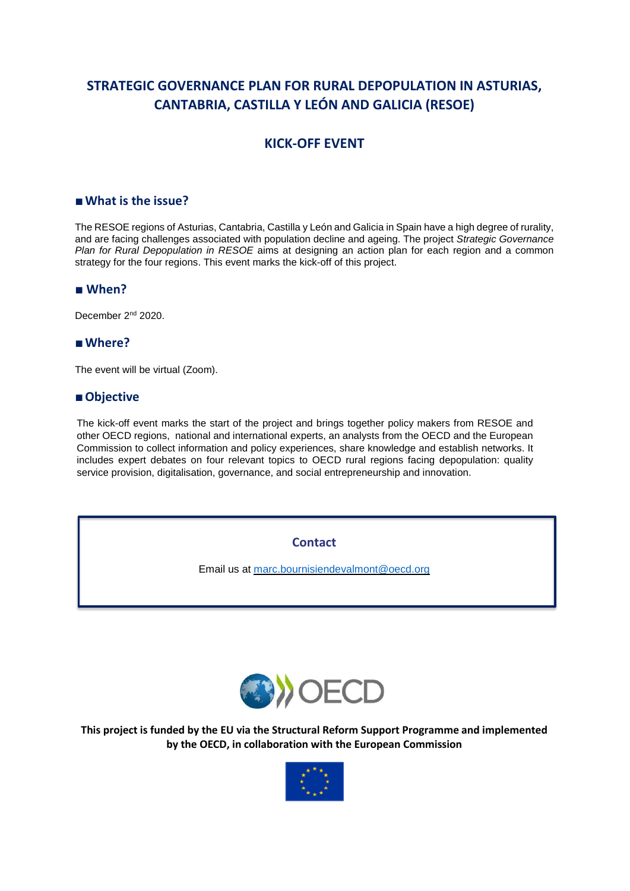# **STRATEGIC GOVERNANCE PLAN FOR RURAL DEPOPULATION IN ASTURIAS, CANTABRIA, CASTILLA Y LEÓN AND GALICIA (RESOE)**

## **KICK-OFF EVENT**

#### **■What is the issue?**

The RESOE regions of Asturias, Cantabria, Castilla y León and Galicia in Spain have a high degree of rurality, and are facing challenges associated with population decline and ageing. The project *Strategic Governance Plan for Rural Depopulation in RESOE* aims at designing an action plan for each region and a common strategy for the four regions. This event marks the kick-off of this project.

#### **■ When?**

December 2<sup>nd</sup> 2020.

### **■Where?**

The event will be virtual (Zoom).

#### **■Objective**

The kick-off event marks the start of the project and brings together policy makers from RESOE and other OECD regions, national and international experts, an analysts from the OECD and the European Commission to collect information and policy experiences, share knowledge and establish networks. It includes expert debates on four relevant topics to OECD rural regions facing depopulation: quality service provision, digitalisation, governance, and social entrepreneurship and innovation.

**Contact**

Email us at [marc.bournisiendevalmont@oecd.org](mailto:marc.bournisiendevalmont@oecd.org)



**This project is funded by the EU via the Structural Reform Support Programme and implemented by the OECD, in collaboration with the European Commission**

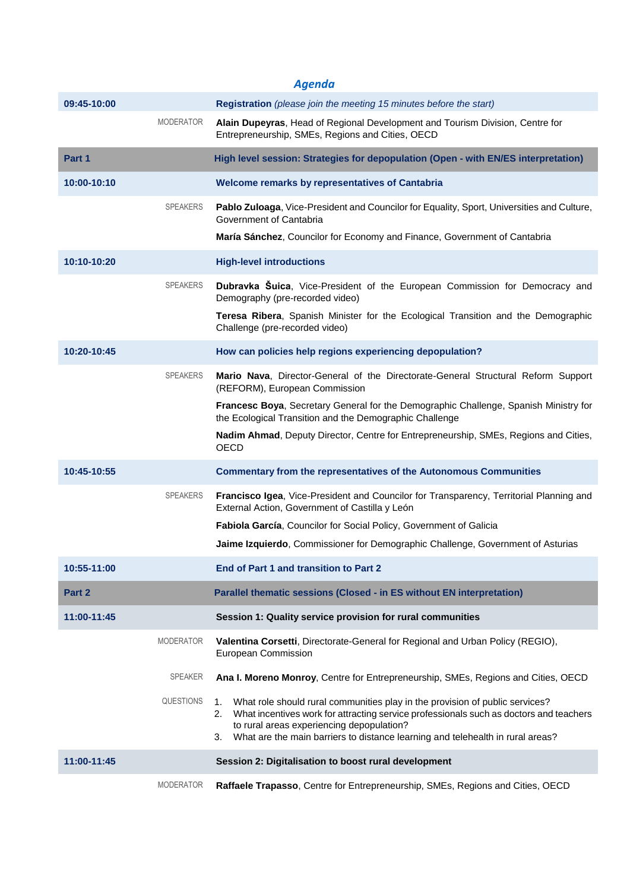|             |                  | <b>Agenda</b>                                                                                                                                                                                                                                                                                                           |
|-------------|------------------|-------------------------------------------------------------------------------------------------------------------------------------------------------------------------------------------------------------------------------------------------------------------------------------------------------------------------|
| 09:45-10:00 |                  | Registration (please join the meeting 15 minutes before the start)                                                                                                                                                                                                                                                      |
|             | <b>MODERATOR</b> | Alain Dupeyras, Head of Regional Development and Tourism Division, Centre for<br>Entrepreneurship, SMEs, Regions and Cities, OECD                                                                                                                                                                                       |
| Part 1      |                  | High level session: Strategies for depopulation (Open - with EN/ES interpretation)                                                                                                                                                                                                                                      |
| 10:00-10:10 |                  | Welcome remarks by representatives of Cantabria                                                                                                                                                                                                                                                                         |
|             | <b>SPEAKERS</b>  | Pablo Zuloaga, Vice-President and Councilor for Equality, Sport, Universities and Culture,<br>Government of Cantabria                                                                                                                                                                                                   |
|             |                  | María Sánchez, Councilor for Economy and Finance, Government of Cantabria                                                                                                                                                                                                                                               |
| 10:10-10:20 |                  | <b>High-level introductions</b>                                                                                                                                                                                                                                                                                         |
|             | <b>SPEAKERS</b>  | Dubravka Suica, Vice-President of the European Commission for Democracy and<br>Demography (pre-recorded video)                                                                                                                                                                                                          |
|             |                  | Teresa Ribera, Spanish Minister for the Ecological Transition and the Demographic<br>Challenge (pre-recorded video)                                                                                                                                                                                                     |
| 10:20-10:45 |                  | How can policies help regions experiencing depopulation?                                                                                                                                                                                                                                                                |
|             | <b>SPEAKERS</b>  | Mario Nava, Director-General of the Directorate-General Structural Reform Support<br>(REFORM), European Commission                                                                                                                                                                                                      |
|             |                  | Francesc Boya, Secretary General for the Demographic Challenge, Spanish Ministry for<br>the Ecological Transition and the Demographic Challenge                                                                                                                                                                         |
|             |                  | Nadim Ahmad, Deputy Director, Centre for Entrepreneurship, SMEs, Regions and Cities,<br><b>OECD</b>                                                                                                                                                                                                                     |
| 10:45-10:55 |                  | <b>Commentary from the representatives of the Autonomous Communities</b>                                                                                                                                                                                                                                                |
|             | <b>SPEAKERS</b>  | Francisco Igea, Vice-President and Councilor for Transparency, Territorial Planning and<br>External Action, Government of Castilla y León                                                                                                                                                                               |
|             |                  | Fabiola García, Councilor for Social Policy, Government of Galicia                                                                                                                                                                                                                                                      |
|             |                  | Jaime Izquierdo, Commissioner for Demographic Challenge, Government of Asturias                                                                                                                                                                                                                                         |
| 10:55-11:00 |                  | End of Part 1 and transition to Part 2                                                                                                                                                                                                                                                                                  |
| Part 2      |                  | Parallel thematic sessions (Closed - in ES without EN interpretation)                                                                                                                                                                                                                                                   |
| 11:00-11:45 |                  | Session 1: Quality service provision for rural communities                                                                                                                                                                                                                                                              |
|             | <b>MODERATOR</b> | Valentina Corsetti, Directorate-General for Regional and Urban Policy (REGIO),<br><b>European Commission</b>                                                                                                                                                                                                            |
|             | <b>SPEAKER</b>   | Ana I. Moreno Monroy, Centre for Entrepreneurship, SMEs, Regions and Cities, OECD                                                                                                                                                                                                                                       |
|             | <b>QUESTIONS</b> | What role should rural communities play in the provision of public services?<br>1.<br>What incentives work for attracting service professionals such as doctors and teachers<br>2.<br>to rural areas experiencing depopulation?<br>What are the main barriers to distance learning and telehealth in rural areas?<br>3. |
| 11:00-11:45 |                  | Session 2: Digitalisation to boost rural development                                                                                                                                                                                                                                                                    |
|             | <b>MODERATOR</b> | Raffaele Trapasso, Centre for Entrepreneurship, SMEs, Regions and Cities, OECD                                                                                                                                                                                                                                          |